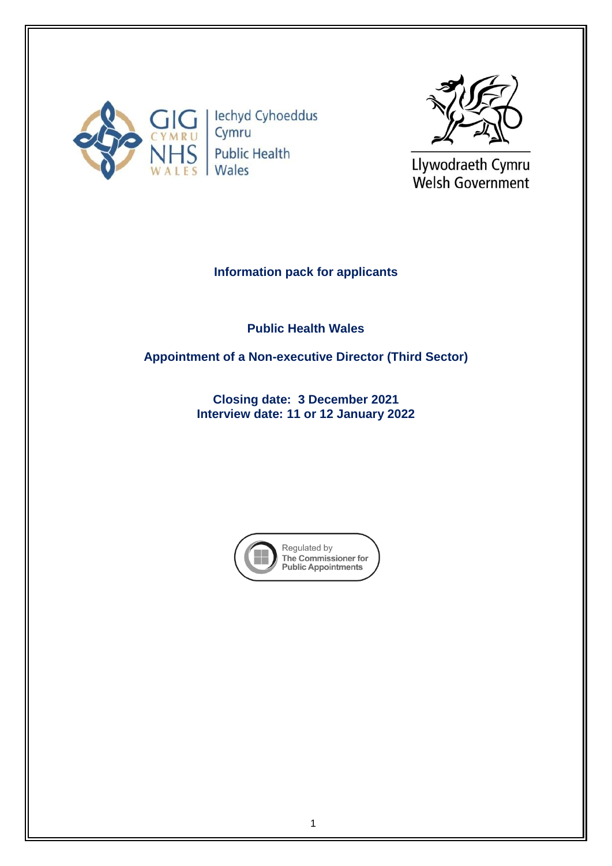

lechyd Cyhoeddus Cymru **Public Health** Wales



Llywodraeth Cymru Welsh Government

# **Information pack for applicants**

**Public Health Wales** 

**Appointment of a Non-executive Director (Third Sector)**

**Closing date: 3 December 2021 Interview date: 11 or 12 January 2022**

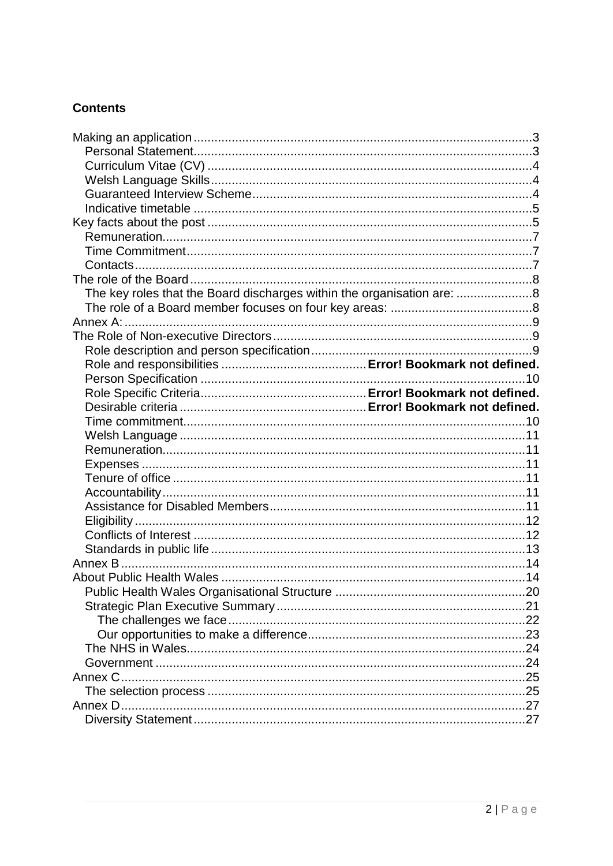# **Contents**

| The key roles that the Board discharges within the organisation are: 8 |  |
|------------------------------------------------------------------------|--|
|                                                                        |  |
|                                                                        |  |
|                                                                        |  |
|                                                                        |  |
|                                                                        |  |
|                                                                        |  |
|                                                                        |  |
|                                                                        |  |
|                                                                        |  |
|                                                                        |  |
|                                                                        |  |
|                                                                        |  |
|                                                                        |  |
|                                                                        |  |
|                                                                        |  |
|                                                                        |  |
|                                                                        |  |
|                                                                        |  |
|                                                                        |  |
|                                                                        |  |
|                                                                        |  |
|                                                                        |  |
|                                                                        |  |
|                                                                        |  |
|                                                                        |  |
|                                                                        |  |
|                                                                        |  |
|                                                                        |  |
|                                                                        |  |
|                                                                        |  |
|                                                                        |  |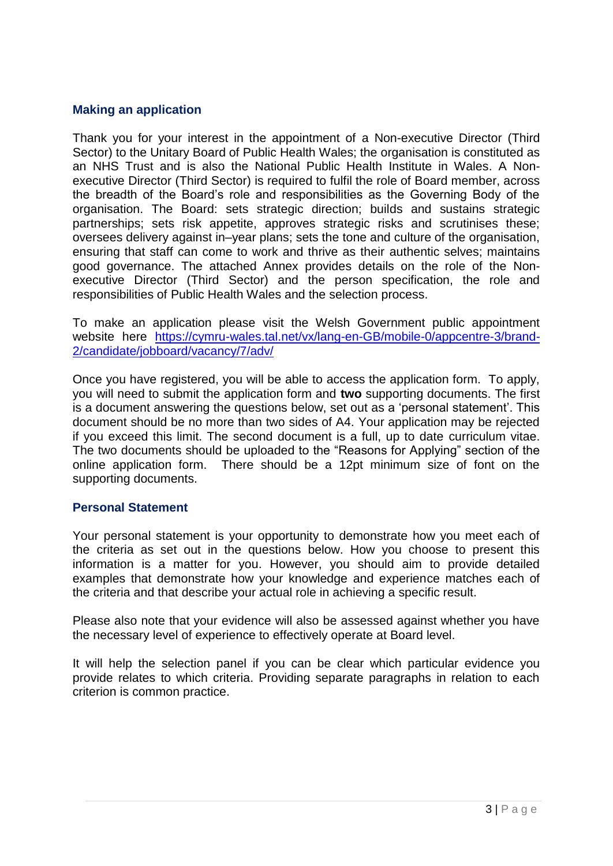## <span id="page-2-0"></span>**Making an application**

Thank you for your interest in the appointment of a Non-executive Director (Third Sector) to the Unitary Board of Public Health Wales; the organisation is constituted as an NHS Trust and is also the National Public Health Institute in Wales. A Nonexecutive Director (Third Sector) is required to fulfil the role of Board member, across the breadth of the Board's role and responsibilities as the Governing Body of the organisation. The Board: sets strategic direction; builds and sustains strategic partnerships; sets risk appetite, approves strategic risks and scrutinises these; oversees delivery against in–year plans; sets the tone and culture of the organisation, ensuring that staff can come to work and thrive as their authentic selves; maintains good governance. The attached Annex provides details on the role of the Nonexecutive Director (Third Sector) and the person specification, the role and responsibilities of Public Health Wales and the selection process.

To make an application please visit the Welsh Government public appointment website here [https://cymru-wales.tal.net/vx/lang-en-GB/mobile-0/appcentre-3/brand-](https://cymru-wales.tal.net/vx/lang-en-GB/mobile-0/appcentre-3/brand-2/candidate/jobboard/vacancy/7/adv/)[2/candidate/jobboard/vacancy/7/adv/](https://cymru-wales.tal.net/vx/lang-en-GB/mobile-0/appcentre-3/brand-2/candidate/jobboard/vacancy/7/adv/)

Once you have registered, you will be able to access the application form. To apply, you will need to submit the application form and **two** supporting documents. The first is a document answering the questions below, set out as a 'personal statement'. This document should be no more than two sides of A4. Your application may be rejected if you exceed this limit. The second document is a full, up to date curriculum vitae. The two documents should be uploaded to the "Reasons for Applying" section of the online application form. There should be a 12pt minimum size of font on the supporting documents.

#### <span id="page-2-1"></span>**Personal Statement**

Your personal statement is your opportunity to demonstrate how you meet each of the criteria as set out in the questions below. How you choose to present this information is a matter for you. However, you should aim to provide detailed examples that demonstrate how your knowledge and experience matches each of the criteria and that describe your actual role in achieving a specific result.

Please also note that your evidence will also be assessed against whether you have the necessary level of experience to effectively operate at Board level.

It will help the selection panel if you can be clear which particular evidence you provide relates to which criteria. Providing separate paragraphs in relation to each criterion is common practice.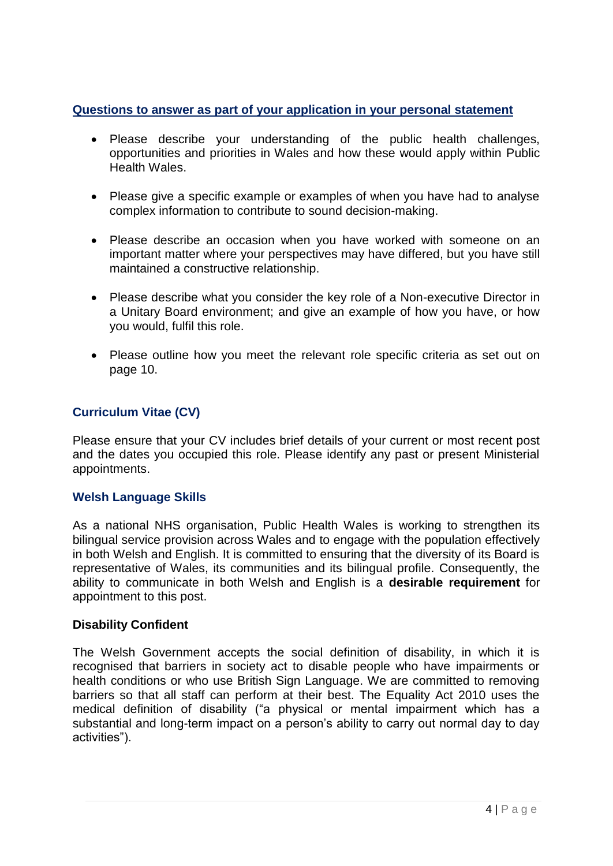# **Questions to answer as part of your application in your personal statement**

- Please describe your understanding of the public health challenges, opportunities and priorities in Wales and how these would apply within Public Health Wales.
- Please give a specific example or examples of when you have had to analyse complex information to contribute to sound decision-making.
- Please describe an occasion when you have worked with someone on an important matter where your perspectives may have differed, but you have still maintained a constructive relationship.
- Please describe what you consider the key role of a Non-executive Director in a Unitary Board environment; and give an example of how you have, or how you would, fulfil this role.
- Please outline how you meet the relevant role specific criteria as set out on page 10.

# <span id="page-3-0"></span>**Curriculum Vitae (CV)**

Please ensure that your CV includes brief details of your current or most recent post and the dates you occupied this role. Please identify any past or present Ministerial appointments.

# <span id="page-3-1"></span>**Welsh Language Skills**

As a national NHS organisation, Public Health Wales is working to strengthen its bilingual service provision across Wales and to engage with the population effectively in both Welsh and English. It is committed to ensuring that the diversity of its Board is representative of Wales, its communities and its bilingual profile. Consequently, the ability to communicate in both Welsh and English is a **desirable requirement** for appointment to this post.

## <span id="page-3-2"></span>**Disability Confident**

The Welsh Government accepts the social definition of disability, in which it is recognised that barriers in society act to disable people who have impairments or health conditions or who use British Sign Language. We are committed to removing barriers so that all staff can perform at their best. The Equality Act 2010 uses the medical definition of disability ("a physical or mental impairment which has a substantial and long-term impact on a person's ability to carry out normal day to day activities").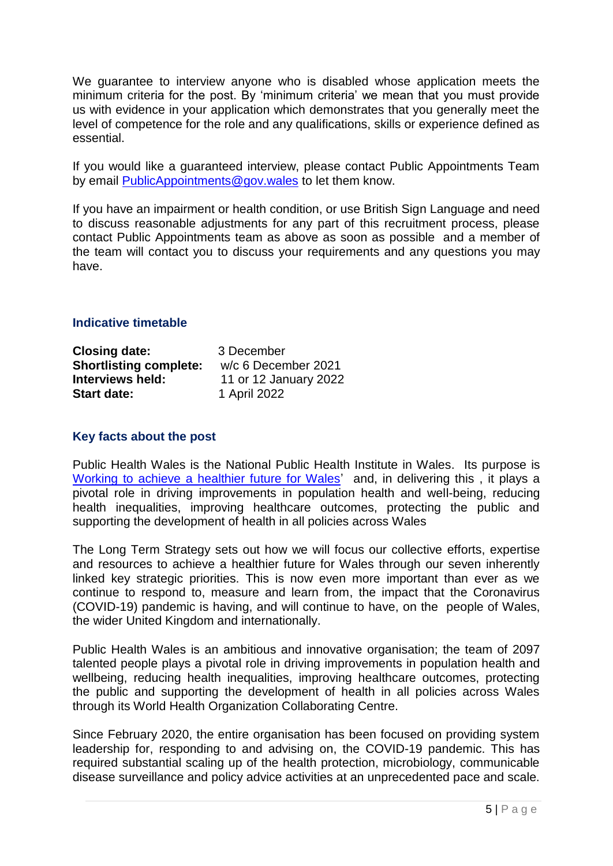We guarantee to interview anyone who is disabled whose application meets the minimum criteria for the post. By 'minimum criteria' we mean that you must provide us with evidence in your application which demonstrates that you generally meet the level of competence for the role and any qualifications, skills or experience defined as essential.

If you would like a guaranteed interview, please contact Public Appointments Team by email [PublicAppointments@gov.wales](mailto:PublicAppointments@gov.wales) to let them know.

If you have an impairment or health condition, or use British Sign Language and need to discuss reasonable adjustments for any part of this recruitment process, please contact Public Appointments team as above as soon as possible and a member of the team will contact you to discuss your requirements and any questions you may have.

## <span id="page-4-0"></span>**Indicative timetable**

| <b>Closing date:</b>          | 3 December            |  |
|-------------------------------|-----------------------|--|
| <b>Shortlisting complete:</b> | w/c 6 December 2021   |  |
| Interviews held:              | 11 or 12 January 2022 |  |
| <b>Start date:</b>            | 1 April 2022          |  |

## <span id="page-4-1"></span>**Key facts about the post**

Public Health Wales is the National Public Health Institute in Wales. Its purpose is [Working to achieve a healthier future for Wales'](https://phw.nhs.wales/about-us/our-priorities/) and, in delivering this, it plays a pivotal role in driving improvements in population health and well-being, reducing health inequalities, improving healthcare outcomes, protecting the public and supporting the development of health in all policies across Wales

The Long Term Strategy sets out how we will focus our collective efforts, expertise and resources to achieve a healthier future for Wales through our seven inherently linked key strategic priorities. This is now even more important than ever as we continue to respond to, measure and learn from, the impact that the Coronavirus (COVID-19) pandemic is having, and will continue to have, on the people of Wales, the wider United Kingdom and internationally.

Public Health Wales is an ambitious and innovative organisation; the team of 2097 talented people plays a pivotal role in driving improvements in population health and wellbeing, reducing health inequalities, improving healthcare outcomes, protecting the public and supporting the development of health in all policies across Wales through its World Health Organization Collaborating Centre.

Since February 2020, the entire organisation has been focused on providing system leadership for, responding to and advising on, the COVID-19 pandemic. This has required substantial scaling up of the health protection, microbiology, communicable disease surveillance and policy advice activities at an unprecedented pace and scale.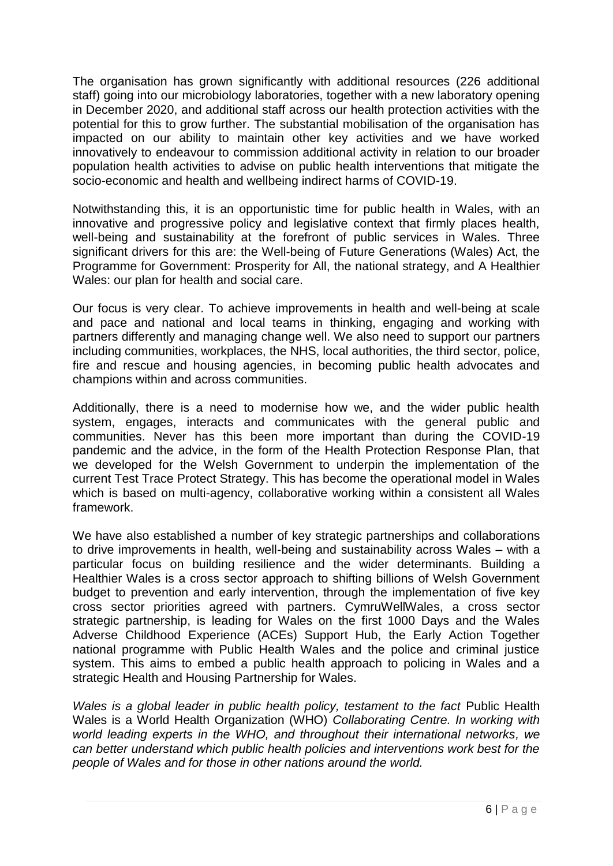The organisation has grown significantly with additional resources (226 additional staff) going into our microbiology laboratories, together with a new laboratory opening in December 2020, and additional staff across our health protection activities with the potential for this to grow further. The substantial mobilisation of the organisation has impacted on our ability to maintain other key activities and we have worked innovatively to endeavour to commission additional activity in relation to our broader population health activities to advise on public health interventions that mitigate the socio-economic and health and wellbeing indirect harms of COVID-19.

Notwithstanding this, it is an opportunistic time for public health in Wales, with an innovative and progressive policy and legislative context that firmly places health, well-being and sustainability at the forefront of public services in Wales. Three significant drivers for this are: the Well-being of Future Generations (Wales) Act, the Programme for Government: Prosperity for All, the national strategy, and A Healthier Wales: our plan for health and social care.

Our focus is very clear. To achieve improvements in health and well-being at scale and pace and national and local teams in thinking, engaging and working with partners differently and managing change well. We also need to support our partners including communities, workplaces, the NHS, local authorities, the third sector, police, fire and rescue and housing agencies, in becoming public health advocates and champions within and across communities.

Additionally, there is a need to modernise how we, and the wider public health system, engages, interacts and communicates with the general public and communities. Never has this been more important than during the COVID-19 pandemic and the advice, in the form of the Health Protection Response Plan, that we developed for the Welsh Government to underpin the implementation of the current Test Trace Protect Strategy. This has become the operational model in Wales which is based on multi-agency, collaborative working within a consistent all Wales framework.

We have also established a number of key strategic partnerships and collaborations to drive improvements in health, well-being and sustainability across Wales – with a particular focus on building resilience and the wider determinants. Building a Healthier Wales is a cross sector approach to shifting billions of Welsh Government budget to prevention and early intervention, through the implementation of five key cross sector priorities agreed with partners. CymruWellWales, a cross sector strategic partnership, is leading for Wales on the first 1000 Days and the Wales Adverse Childhood Experience (ACEs) Support Hub, the Early Action Together national programme with Public Health Wales and the police and criminal justice system. This aims to embed a public health approach to policing in Wales and a strategic Health and Housing Partnership for Wales.

*Wales is a global leader in public health policy, testament to the fact Public Health* Wales is a World Health Organization (WHO) *Collaborating Centre. In working with world leading experts in the WHO, and throughout their international networks, we can better understand which public health policies and interventions work best for the people of Wales and for those in other nations around the world.*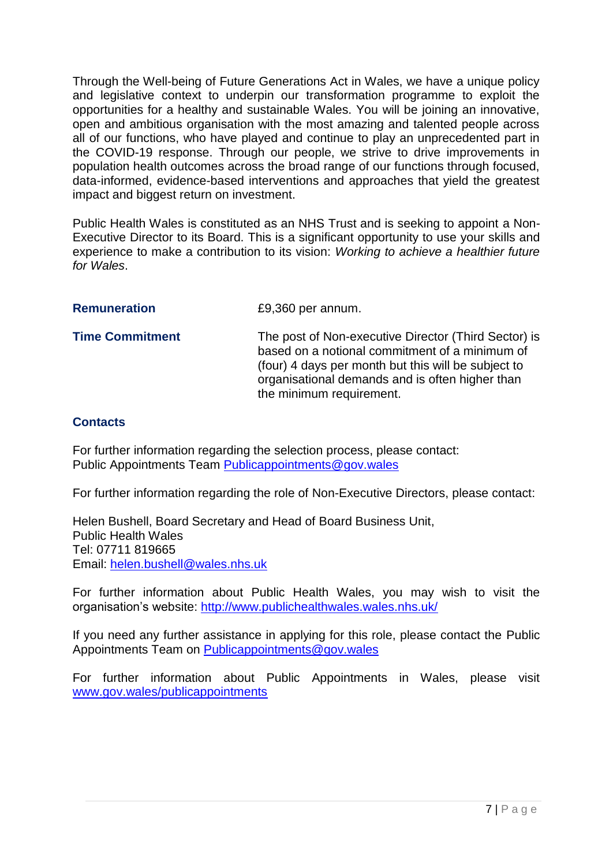Through the Well-being of Future Generations Act in Wales, we have a unique policy and legislative context to underpin our transformation programme to exploit the opportunities for a healthy and sustainable Wales. You will be joining an innovative, open and ambitious organisation with the most amazing and talented people across all of our functions, who have played and continue to play an unprecedented part in the COVID-19 response. Through our people, we strive to drive improvements in population health outcomes across the broad range of our functions through focused, data-informed, evidence-based interventions and approaches that yield the greatest impact and biggest return on investment.

Public Health Wales is constituted as an NHS Trust and is seeking to appoint a Non-Executive Director to its Board. This is a significant opportunity to use your skills and experience to make a contribution to its vision: *Working to achieve a healthier future for Wales*.

<span id="page-6-0"></span>

| <b>Remuneration</b> | £9,360 per annum. |
|---------------------|-------------------|
|---------------------|-------------------|

<span id="page-6-1"></span>**Time Commitment** The post of Non-executive Director (Third Sector) is based on a notional commitment of a minimum of (four) 4 days per month but this will be subject to organisational demands and is often higher than the minimum requirement.

# <span id="page-6-2"></span>**Contacts**

For further information regarding the selection process, please contact: Public Appointments Team [Publicappointments@gov.wales](mailto:Publicappointments@gov.wales)

For further information regarding the role of Non-Executive Directors, please contact:

Helen Bushell, Board Secretary and Head of Board Business Unit, Public Health Wales Tel: 07711 819665 Email: [helen.bushell@wales.nhs.uk](mailto:helen.bushell@wales.nhs.uk)

For further information about Public Health Wales, you may wish to visit the organisation's website:<http://www.publichealthwales.wales.nhs.uk/>

If you need any further assistance in applying for this role, please contact the Public Appointments Team on [Publicappointments@gov.wales](mailto:Publicappointments@gov.wales)

For further information about Public Appointments in Wales, please visit [www.gov.wales/publicappointments](http://www.gov.wales/publicappointments)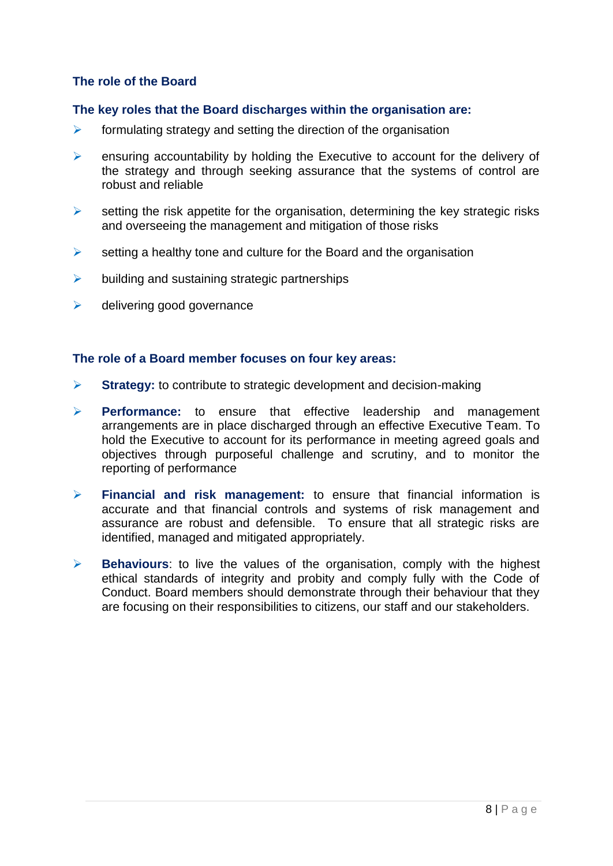## <span id="page-7-0"></span>**The role of the Board**

#### <span id="page-7-1"></span>**The key roles that the Board discharges within the organisation are:**

- $\triangleright$  formulating strategy and setting the direction of the organisation
- $\triangleright$  ensuring accountability by holding the Executive to account for the delivery of the strategy and through seeking assurance that the systems of control are robust and reliable
- $\triangleright$  setting the risk appetite for the organisation, determining the key strategic risks and overseeing the management and mitigation of those risks
- $\triangleright$  setting a healthy tone and culture for the Board and the organisation
- $\triangleright$  building and sustaining strategic partnerships
- $\triangleright$  delivering good governance

#### <span id="page-7-2"></span>**The role of a Board member focuses on four key areas:**

- **Strategy:** to contribute to strategic development and decision-making
- **Performance:** to ensure that effective leadership and management arrangements are in place discharged through an effective Executive Team. To hold the Executive to account for its performance in meeting agreed goals and objectives through purposeful challenge and scrutiny, and to monitor the reporting of performance
- **Financial and risk management:** to ensure that financial information is accurate and that financial controls and systems of risk management and assurance are robust and defensible. To ensure that all strategic risks are identified, managed and mitigated appropriately.
- **Behaviours**: to live the values of the organisation, comply with the highest ethical standards of integrity and probity and comply fully with the Code of Conduct. Board members should demonstrate through their behaviour that they are focusing on their responsibilities to citizens, our staff and our stakeholders.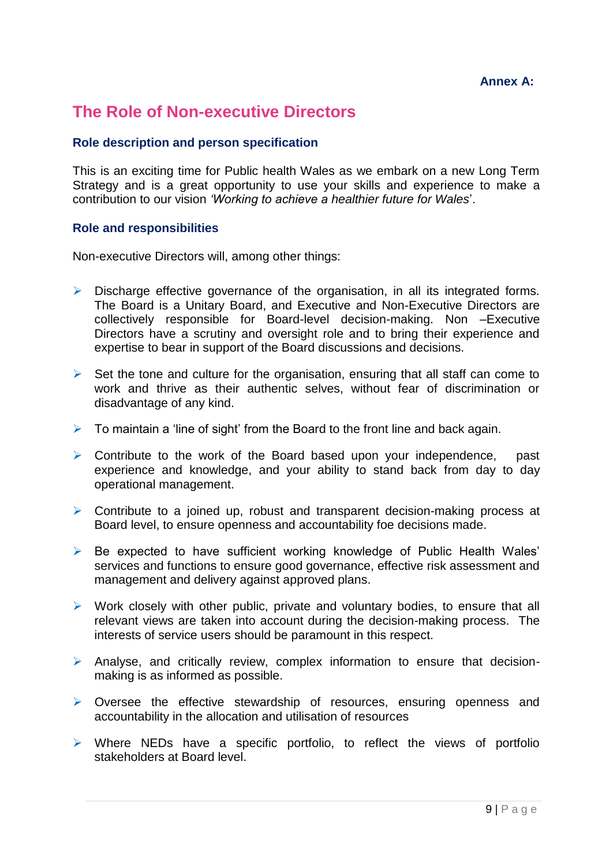## **Annex A:**

# <span id="page-8-1"></span><span id="page-8-0"></span>**The Role of Non-executive Directors**

## <span id="page-8-2"></span>**Role description and person specification**

This is an exciting time for Public health Wales as we embark on a new Long Term Strategy and is a great opportunity to use your skills and experience to make a contribution to our vision *'Working to achieve a healthier future for Wales*'.

#### **Role and responsibilities**

Non-executive Directors will, among other things:

- $\triangleright$  Discharge effective governance of the organisation, in all its integrated forms. The Board is a Unitary Board, and Executive and Non-Executive Directors are collectively responsible for Board-level decision-making. Non –Executive Directors have a scrutiny and oversight role and to bring their experience and expertise to bear in support of the Board discussions and decisions.
- $\triangleright$  Set the tone and culture for the organisation, ensuring that all staff can come to work and thrive as their authentic selves, without fear of discrimination or disadvantage of any kind.
- $\triangleright$  To maintain a 'line of sight' from the Board to the front line and back again.
- $\triangleright$  Contribute to the work of the Board based upon your independence, past experience and knowledge, and your ability to stand back from day to day operational management.
- $\triangleright$  Contribute to a joined up, robust and transparent decision-making process at Board level, to ensure openness and accountability foe decisions made.
- $\triangleright$  Be expected to have sufficient working knowledge of Public Health Wales' services and functions to ensure good governance, effective risk assessment and management and delivery against approved plans.
- $\triangleright$  Work closely with other public, private and voluntary bodies, to ensure that all relevant views are taken into account during the decision-making process. The interests of service users should be paramount in this respect.
- Analyse, and critically review, complex information to ensure that decisionmaking is as informed as possible.
- $\triangleright$  Oversee the effective stewardship of resources, ensuring openness and accountability in the allocation and utilisation of resources
- $\triangleright$  Where NEDs have a specific portfolio, to reflect the views of portfolio stakeholders at Board level.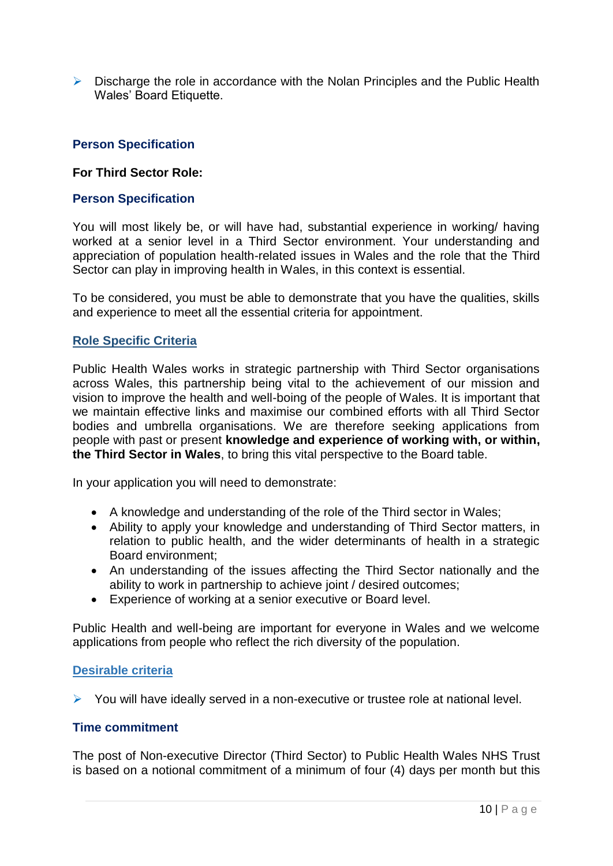$\triangleright$  Discharge the role in accordance with the Nolan Principles and the Public Health Wales' Board Etiquette.

## <span id="page-9-0"></span>**Person Specification**

#### **For Third Sector Role:**

#### **Person Specification**

You will most likely be, or will have had, substantial experience in working/ having worked at a senior level in a Third Sector environment. Your understanding and appreciation of population health-related issues in Wales and the role that the Third Sector can play in improving health in Wales, in this context is essential.

To be considered, you must be able to demonstrate that you have the qualities, skills and experience to meet all the essential criteria for appointment.

#### **Role Specific Criteria**

Public Health Wales works in strategic partnership with Third Sector organisations across Wales, this partnership being vital to the achievement of our mission and vision to improve the health and well-boing of the people of Wales. It is important that we maintain effective links and maximise our combined efforts with all Third Sector bodies and umbrella organisations. We are therefore seeking applications from people with past or present **knowledge and experience of working with, or within, the Third Sector in Wales**, to bring this vital perspective to the Board table.

In your application you will need to demonstrate:

- A knowledge and understanding of the role of the Third sector in Wales;
- Ability to apply your knowledge and understanding of Third Sector matters, in relation to public health, and the wider determinants of health in a strategic Board environment;
- An understanding of the issues affecting the Third Sector nationally and the ability to work in partnership to achieve joint / desired outcomes;
- Experience of working at a senior executive or Board level.

Public Health and well-being are important for everyone in Wales and we welcome applications from people who reflect the rich diversity of the population.

## **Desirable criteria**

 $\triangleright$  You will have ideally served in a non-executive or trustee role at national level.

#### <span id="page-9-1"></span>**Time commitment**

The post of Non-executive Director (Third Sector) to Public Health Wales NHS Trust is based on a notional commitment of a minimum of four (4) days per month but this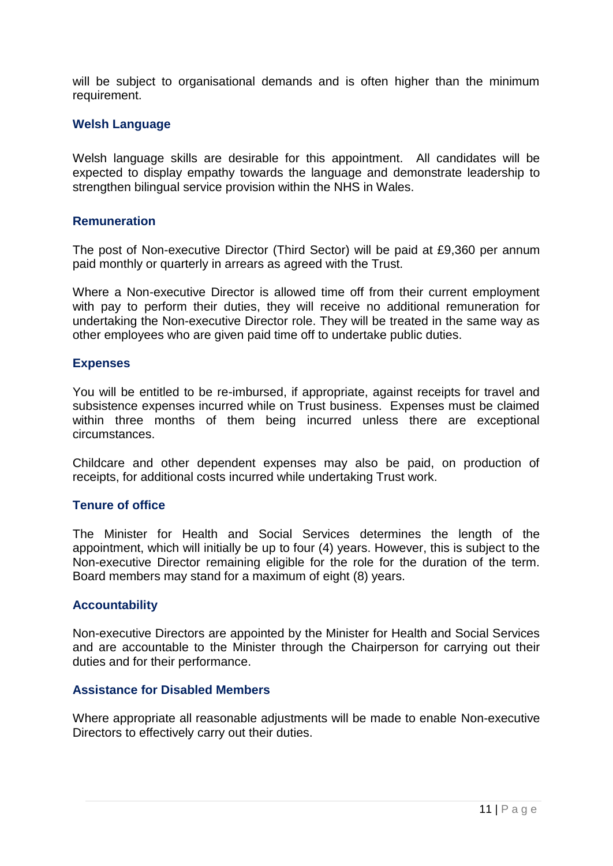will be subject to organisational demands and is often higher than the minimum requirement.

### <span id="page-10-0"></span>**Welsh Language**

Welsh language skills are desirable for this appointment. All candidates will be expected to display empathy towards the language and demonstrate leadership to strengthen bilingual service provision within the NHS in Wales.

### <span id="page-10-1"></span>**Remuneration**

The post of Non-executive Director (Third Sector) will be paid at £9,360 per annum paid monthly or quarterly in arrears as agreed with the Trust.

Where a Non-executive Director is allowed time off from their current employment with pay to perform their duties, they will receive no additional remuneration for undertaking the Non-executive Director role. They will be treated in the same way as other employees who are given paid time off to undertake public duties.

#### <span id="page-10-2"></span>**Expenses**

You will be entitled to be re-imbursed, if appropriate, against receipts for travel and subsistence expenses incurred while on Trust business. Expenses must be claimed within three months of them being incurred unless there are exceptional circumstances.

Childcare and other dependent expenses may also be paid, on production of receipts, for additional costs incurred while undertaking Trust work.

#### <span id="page-10-3"></span>**Tenure of office**

The Minister for Health and Social Services determines the length of the appointment, which will initially be up to four (4) years. However, this is subject to the Non-executive Director remaining eligible for the role for the duration of the term. Board members may stand for a maximum of eight (8) years.

#### <span id="page-10-4"></span>**Accountability**

Non-executive Directors are appointed by the Minister for Health and Social Services and are accountable to the Minister through the Chairperson for carrying out their duties and for their performance.

#### <span id="page-10-5"></span>**Assistance for Disabled Members**

Where appropriate all reasonable adjustments will be made to enable Non-executive Directors to effectively carry out their duties.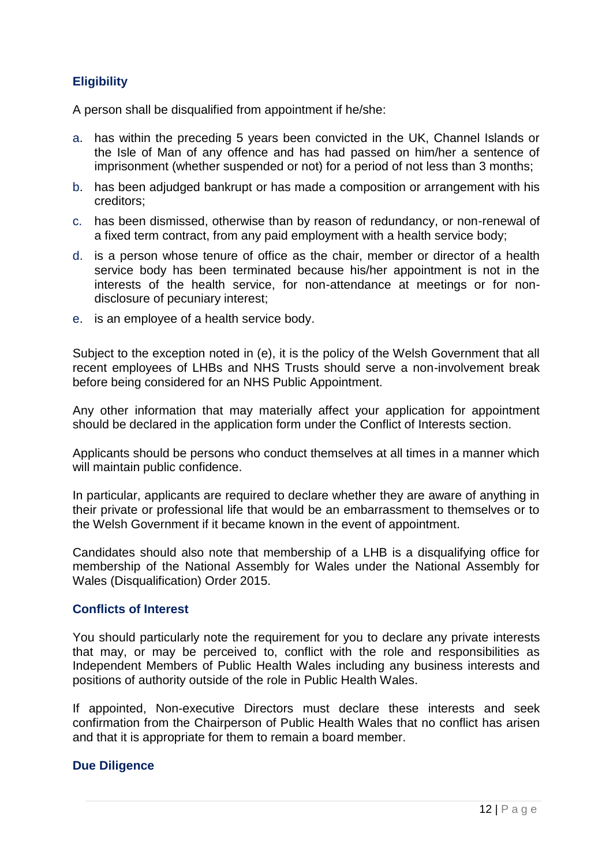# <span id="page-11-0"></span>**Eligibility**

A person shall be disqualified from appointment if he/she:

- a. has within the preceding 5 years been convicted in the UK, Channel Islands or the Isle of Man of any offence and has had passed on him/her a sentence of imprisonment (whether suspended or not) for a period of not less than 3 months;
- b. has been adjudged bankrupt or has made a composition or arrangement with his creditors;
- c. has been dismissed, otherwise than by reason of redundancy, or non-renewal of a fixed term contract, from any paid employment with a health service body;
- d. is a person whose tenure of office as the chair, member or director of a health service body has been terminated because his/her appointment is not in the interests of the health service, for non-attendance at meetings or for nondisclosure of pecuniary interest;
- e. is an employee of a health service body.

Subject to the exception noted in (e), it is the policy of the Welsh Government that all recent employees of LHBs and NHS Trusts should serve a non-involvement break before being considered for an NHS Public Appointment.

Any other information that may materially affect your application for appointment should be declared in the application form under the Conflict of Interests section.

Applicants should be persons who conduct themselves at all times in a manner which will maintain public confidence.

In particular, applicants are required to declare whether they are aware of anything in their private or professional life that would be an embarrassment to themselves or to the Welsh Government if it became known in the event of appointment.

Candidates should also note that membership of a LHB is a disqualifying office for membership of the National Assembly for Wales under the National Assembly for Wales (Disqualification) Order 2015.

## <span id="page-11-1"></span>**Conflicts of Interest**

You should particularly note the requirement for you to declare any private interests that may, or may be perceived to, conflict with the role and responsibilities as Independent Members of Public Health Wales including any business interests and positions of authority outside of the role in Public Health Wales.

If appointed, Non-executive Directors must declare these interests and seek confirmation from the Chairperson of Public Health Wales that no conflict has arisen and that it is appropriate for them to remain a board member.

## **Due Diligence**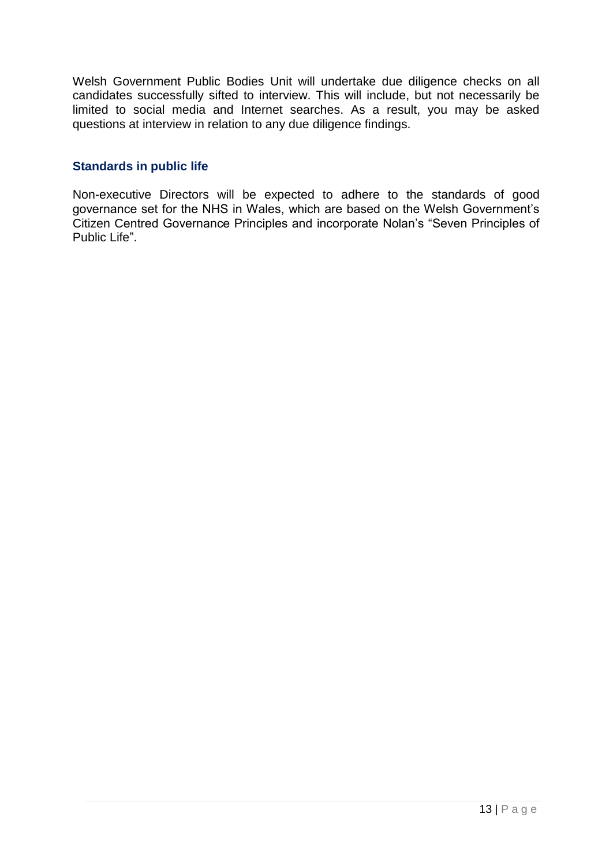Welsh Government Public Bodies Unit will undertake due diligence checks on all candidates successfully sifted to interview. This will include, but not necessarily be limited to social media and Internet searches. As a result, you may be asked questions at interview in relation to any due diligence findings.

### <span id="page-12-0"></span>**Standards in public life**

Non-executive Directors will be expected to adhere to the standards of good governance set for the NHS in Wales, which are based on the Welsh Government's Citizen Centred Governance Principles and incorporate Nolan's "Seven Principles of Public Life".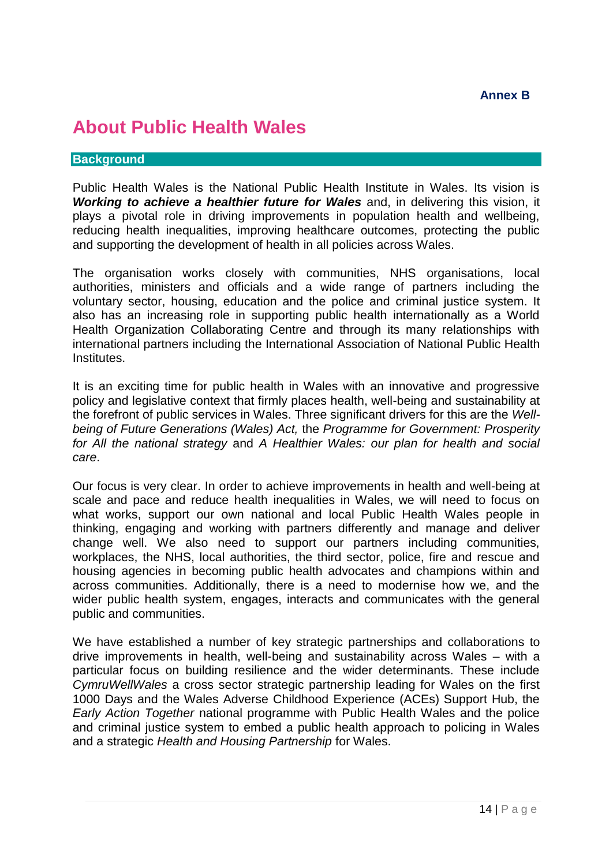# <span id="page-13-1"></span><span id="page-13-0"></span>**About Public Health Wales**

#### **Background**

Public Health Wales is the National Public Health Institute in Wales. Its vision is *Working to achieve a healthier future for Wales* and, in delivering this vision, it plays a pivotal role in driving improvements in population health and wellbeing, reducing health inequalities, improving healthcare outcomes, protecting the public and supporting the development of health in all policies across Wales.

The organisation works closely with communities, NHS organisations, local authorities, ministers and officials and a wide range of partners including the voluntary sector, housing, education and the police and criminal justice system. It also has an increasing role in supporting public health internationally as a World Health Organization Collaborating Centre and through its many relationships with international partners including the International Association of National Public Health Institutes.

It is an exciting time for public health in Wales with an innovative and progressive policy and legislative context that firmly places health, well-being and sustainability at the forefront of public services in Wales. Three significant drivers for this are the *Wellbeing of Future Generations (Wales) Act,* the *Programme for Government: Prosperity for All the national strategy* and *A Healthier Wales: our plan for health and social care*.

Our focus is very clear. In order to achieve improvements in health and well-being at scale and pace and reduce health inequalities in Wales, we will need to focus on what works, support our own national and local Public Health Wales people in thinking, engaging and working with partners differently and manage and deliver change well. We also need to support our partners including communities, workplaces, the NHS, local authorities, the third sector, police, fire and rescue and housing agencies in becoming public health advocates and champions within and across communities. Additionally, there is a need to modernise how we, and the wider public health system, engages, interacts and communicates with the general public and communities.

We have established a number of key strategic partnerships and collaborations to drive improvements in health, well-being and sustainability across Wales – with a particular focus on building resilience and the wider determinants. These include *CymruWellWales* a cross sector strategic partnership leading for Wales on the first 1000 Days and the Wales Adverse Childhood Experience (ACEs) Support Hub, the *Early Action Together* national programme with Public Health Wales and the police and criminal justice system to embed a public health approach to policing in Wales and a strategic *Health and Housing Partnership* for Wales.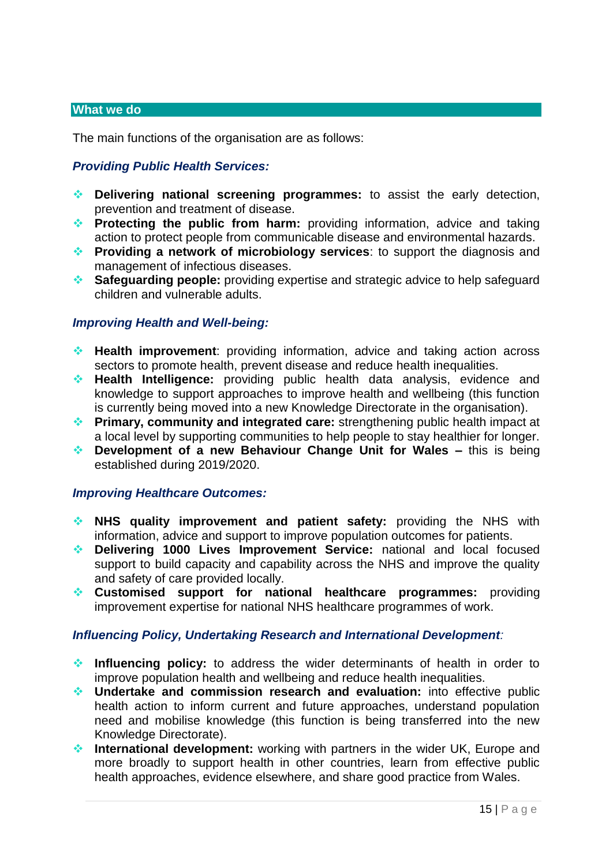#### **What we do**

The main functions of the organisation are as follows:

## *Providing Public Health Services:*

- **Delivering national screening programmes:** to assist the early detection, prevention and treatment of disease.
- **Protecting the public from harm:** providing information, advice and taking action to protect people from communicable disease and environmental hazards.
- **Providing a network of microbiology services**: to support the diagnosis and management of infectious diseases.
- **Safeguarding people:** providing expertise and strategic advice to help safeguard children and vulnerable adults.

#### *Improving Health and Well-being:*

- **Health improvement**: providing information, advice and taking action across sectors to promote health, prevent disease and reduce health inequalities.
- **Health Intelligence:** providing public health data analysis, evidence and knowledge to support approaches to improve health and wellbeing (this function is currently being moved into a new Knowledge Directorate in the organisation).
- **Primary, community and integrated care:** strengthening public health impact at a local level by supporting communities to help people to stay healthier for longer.
- ◆ **Development of a new Behaviour Change Unit for Wales –** this is being established during 2019/2020.

#### *Improving Healthcare Outcomes:*

- **NHS quality improvement and patient safety:** providing the NHS with information, advice and support to improve population outcomes for patients.
- **Delivering 1000 Lives Improvement Service:** national and local focused support to build capacity and capability across the NHS and improve the quality and safety of care provided locally.
- **Customised support for national healthcare programmes:** providing improvement expertise for national NHS healthcare programmes of work.

#### *Influencing Policy, Undertaking Research and International Development:*

- **Influencing policy:** to address the wider determinants of health in order to improve population health and wellbeing and reduce health inequalities.
- **Undertake and commission research and evaluation:** into effective public health action to inform current and future approaches, understand population need and mobilise knowledge (this function is being transferred into the new Knowledge Directorate).
- **International development:** working with partners in the wider UK, Europe and more broadly to support health in other countries, learn from effective public health approaches, evidence elsewhere, and share good practice from Wales.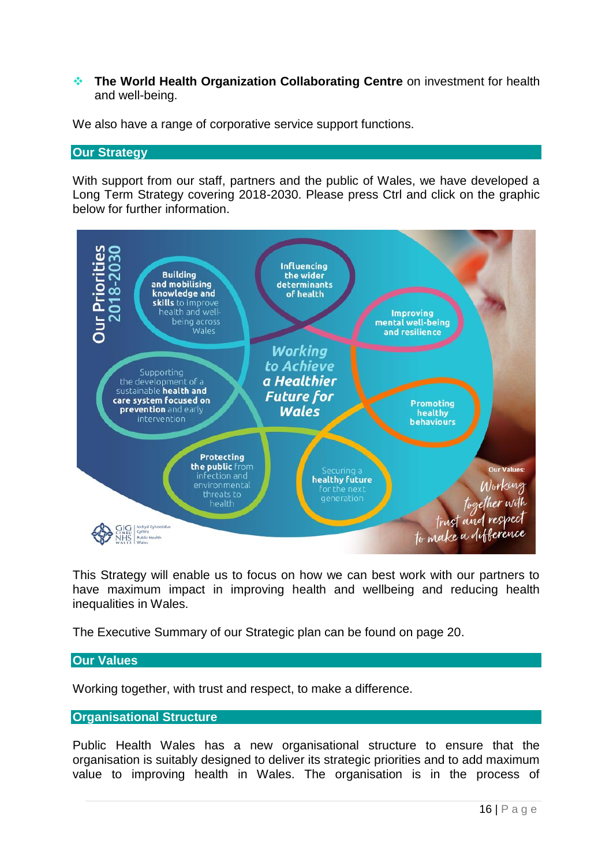#### **The World Health Organization Collaborating Centre** on investment for health and well-being.

We also have a range of corporative service support functions.

#### **Our Strategy**

With support from our staff, partners and the public of Wales, we have developed a Long Term Strategy covering 2018-2030. Please press Ctrl and click on the graphic below for further information.



This Strategy will enable us to focus on how we can best work with our partners to have maximum impact in improving health and wellbeing and reducing health inequalities in Wales.

The Executive Summary of our Strategic plan can be found on page 20.

## **Our Values**

Working together, with trust and respect, to make a difference.

#### **Organisational Structure**

Public Health Wales has a new organisational structure to ensure that the organisation is suitably designed to deliver its strategic priorities and to add maximum value to improving health in Wales. The organisation is in the process of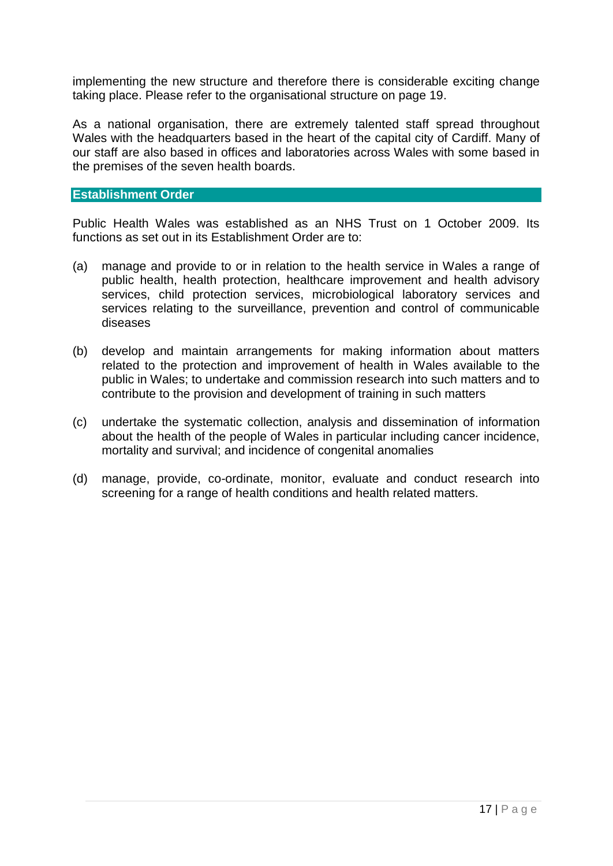implementing the new structure and therefore there is considerable exciting change taking place. Please refer to the organisational structure on page 19.

As a national organisation, there are extremely talented staff spread throughout Wales with the headquarters based in the heart of the capital city of Cardiff. Many of our staff are also based in offices and laboratories across Wales with some based in the premises of the seven health boards.

#### **Establishment Order**

Public Health Wales was established as an NHS Trust on 1 October 2009. Its functions as set out in its Establishment Order are to:

- (a) manage and provide to or in relation to the health service in Wales a range of public health, health protection, healthcare improvement and health advisory services, child protection services, microbiological laboratory services and services relating to the surveillance, prevention and control of communicable diseases
- (b) develop and maintain arrangements for making information about matters related to the protection and improvement of health in Wales available to the public in Wales; to undertake and commission research into such matters and to contribute to the provision and development of training in such matters
- (c) undertake the systematic collection, analysis and dissemination of information about the health of the people of Wales in particular including cancer incidence, mortality and survival; and incidence of congenital anomalies
- (d) manage, provide, co-ordinate, monitor, evaluate and conduct research into screening for a range of health conditions and health related matters.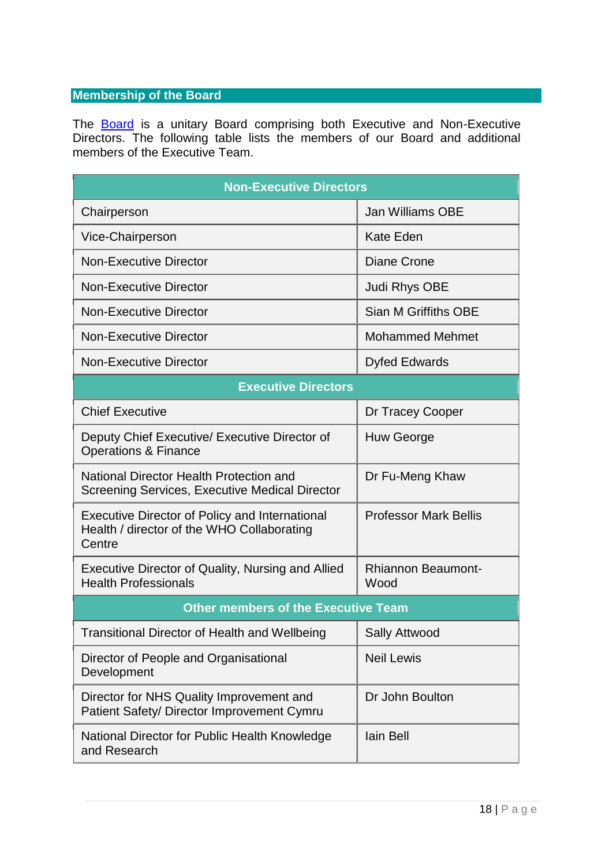## **Membership of the Board**

The **[Board](https://phw.nhs.wales/about-us/board-and-executive-team/board-papers/board-meetings/2021-2022/27-may-2021/board-papers-27-may-2021/4-2a-board-270521-integrated-performance-report-cover/)** is a unitary Board comprising both Executive and Non-Executive Directors. The following table lists the members of our Board and additional members of the Executive Team.

| <b>Non-Executive Directors</b>                                                                                |                                   |  |  |  |
|---------------------------------------------------------------------------------------------------------------|-----------------------------------|--|--|--|
| Chairperson                                                                                                   | <b>Jan Williams OBE</b>           |  |  |  |
| Vice-Chairperson                                                                                              | <b>Kate Eden</b>                  |  |  |  |
| <b>Non-Executive Director</b>                                                                                 | Diane Crone                       |  |  |  |
| <b>Non-Executive Director</b>                                                                                 | Judi Rhys OBE                     |  |  |  |
| <b>Non-Executive Director</b>                                                                                 | Sian M Griffiths OBE              |  |  |  |
| <b>Non-Executive Director</b>                                                                                 | <b>Mohammed Mehmet</b>            |  |  |  |
| <b>Non-Executive Director</b>                                                                                 | <b>Dyfed Edwards</b>              |  |  |  |
| <b>Executive Directors</b>                                                                                    |                                   |  |  |  |
| <b>Chief Executive</b>                                                                                        | Dr Tracey Cooper                  |  |  |  |
| Deputy Chief Executive/ Executive Director of<br><b>Operations &amp; Finance</b>                              | Huw George                        |  |  |  |
| National Director Health Protection and<br>Screening Services, Executive Medical Director                     | Dr Fu-Meng Khaw                   |  |  |  |
| <b>Executive Director of Policy and International</b><br>Health / director of the WHO Collaborating<br>Centre | <b>Professor Mark Bellis</b>      |  |  |  |
| Executive Director of Quality, Nursing and Allied<br><b>Health Professionals</b>                              | <b>Rhiannon Beaumont-</b><br>Wood |  |  |  |
| <b>Other members of the Executive Team</b>                                                                    |                                   |  |  |  |
| Transitional Director of Health and Wellbeing                                                                 | <b>Sally Attwood</b>              |  |  |  |
| Director of People and Organisational<br>Development                                                          | <b>Neil Lewis</b>                 |  |  |  |
| Director for NHS Quality Improvement and<br>Patient Safety/ Director Improvement Cymru                        | Dr John Boulton                   |  |  |  |
| National Director for Public Health Knowledge<br>and Research                                                 | lain Bell                         |  |  |  |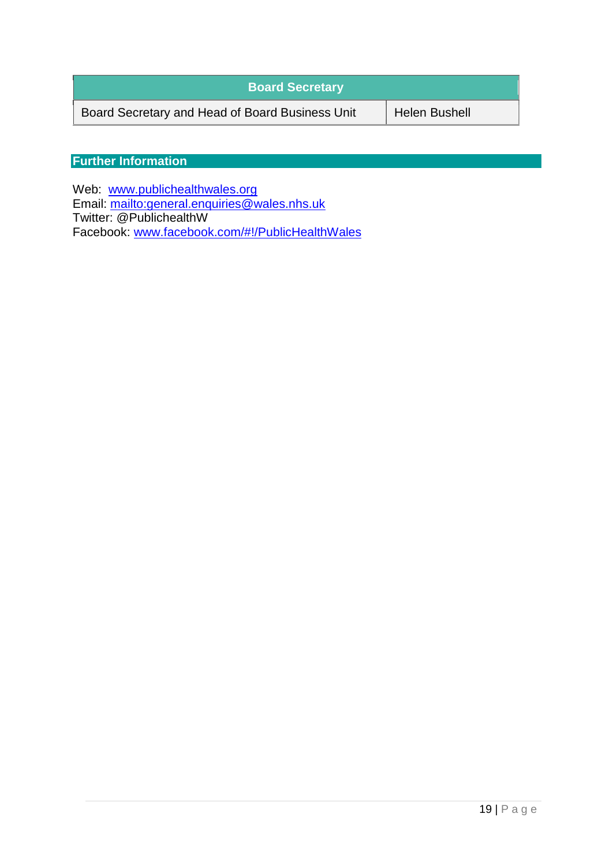| <b>Board Secretary</b>                          |                      |
|-------------------------------------------------|----------------------|
| Board Secretary and Head of Board Business Unit | <b>Helen Bushell</b> |

# **Further Information**

Web: [www.publichealthwales.org](http://www.publichealthwales.org/) Email:<mailto:general.enquiries@wales.nhs.uk> Twitter: @PublichealthW Facebook: [www.facebook.com/#!/PublicHealthWales](http://www.facebook.com/#!/PublicHealthWales)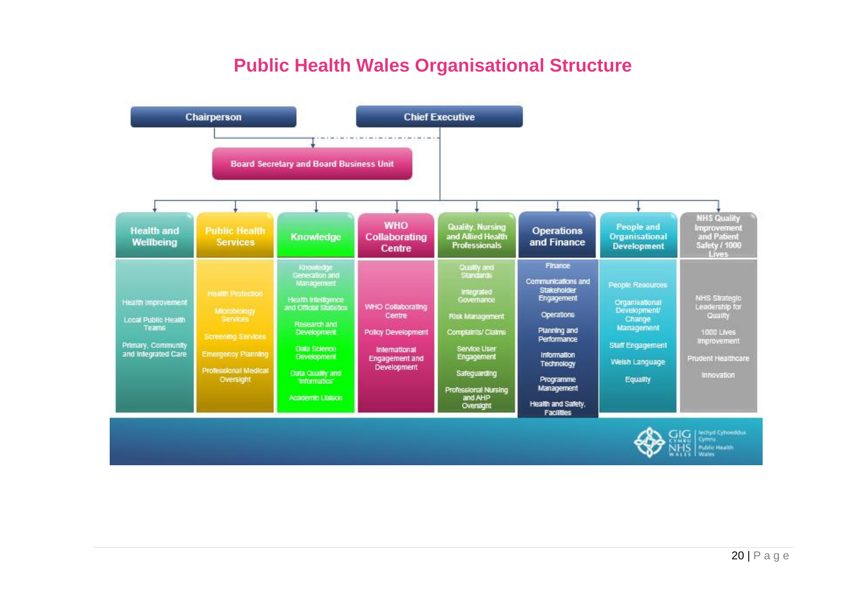# **Public Health Wales Organisational Structure**

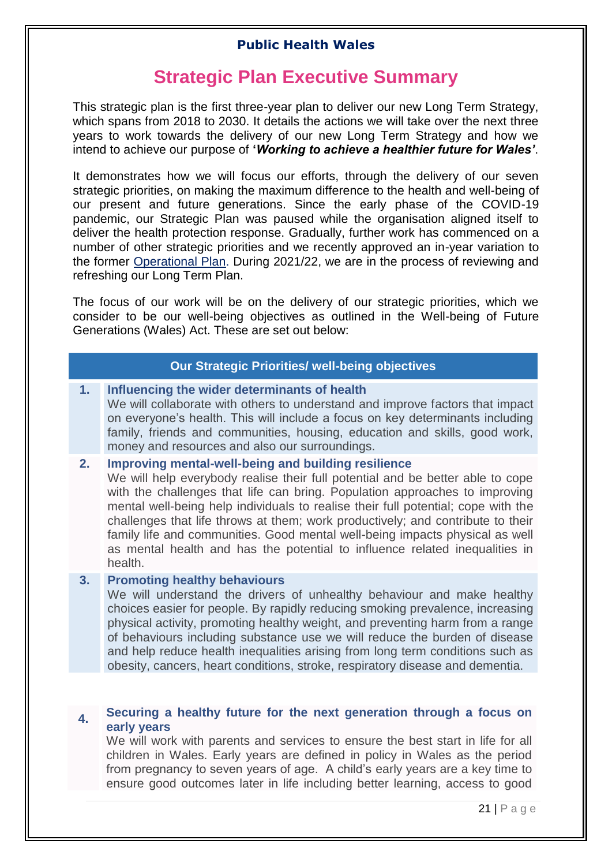# **Strategic Plan Executive Summary**

<span id="page-20-0"></span>This strategic plan is the first three-year plan to deliver our new Long Term Strategy, which spans from 2018 to 2030. It details the actions we will take over the next three years to work towards the delivery of our new Long Term Strategy and how we intend to achieve our purpose of **'***Working to achieve a healthier future for Wales'*.

It demonstrates how we will focus our efforts, through the delivery of our seven strategic priorities, on making the maximum difference to the health and well-being of our present and future generations. Since the early phase of the COVID-19 pandemic, our Strategic Plan was paused while the organisation aligned itself to deliver the health protection response. Gradually, further work has commenced on a number of other strategic priorities and we recently approved an in-year variation to the former [Operational Plan.](https://phw.nhs.wales/topics/latest-information-on-novel-coronavirus-covid-19/staff-information-page1/public-health-wales-operational-plan/) During 2021/22, we are in the process of reviewing and refreshing our Long Term Plan.

The focus of our work will be on the delivery of our strategic priorities, which we consider to be our well-being objectives as outlined in the Well-being of Future Generations (Wales) Act. These are set out below:

## **Our Strategic Priorities/ well-being objectives**

#### **1. Influencing the wider determinants of health**

We will collaborate with others to understand and improve factors that impact on everyone's health. This will include a focus on key determinants including family, friends and communities, housing, education and skills, good work, money and resources and also our surroundings.

#### **2. Improving mental-well-being and building resilience**

We will help everybody realise their full potential and be better able to cope with the challenges that life can bring. Population approaches to improving mental well-being help individuals to realise their full potential; cope with the challenges that life throws at them; work productively; and contribute to their family life and communities. Good mental well-being impacts physical as well as mental health and has the potential to influence related inequalities in health.

#### **3. Promoting healthy behaviours**

We will understand the drivers of unhealthy behaviour and make healthy choices easier for people. By rapidly reducing smoking prevalence, increasing physical activity, promoting healthy weight, and preventing harm from a range of behaviours including substance use we will reduce the burden of disease and help reduce health inequalities arising from long term conditions such as obesity, cancers, heart conditions, stroke, respiratory disease and dementia.

#### **4. Securing a healthy future for the next generation through a focus on early years**

We will work with parents and services to ensure the best start in life for all children in Wales. Early years are defined in policy in Wales as the period from pregnancy to seven years of age. A child's early years are a key time to ensure good outcomes later in life including better learning, access to good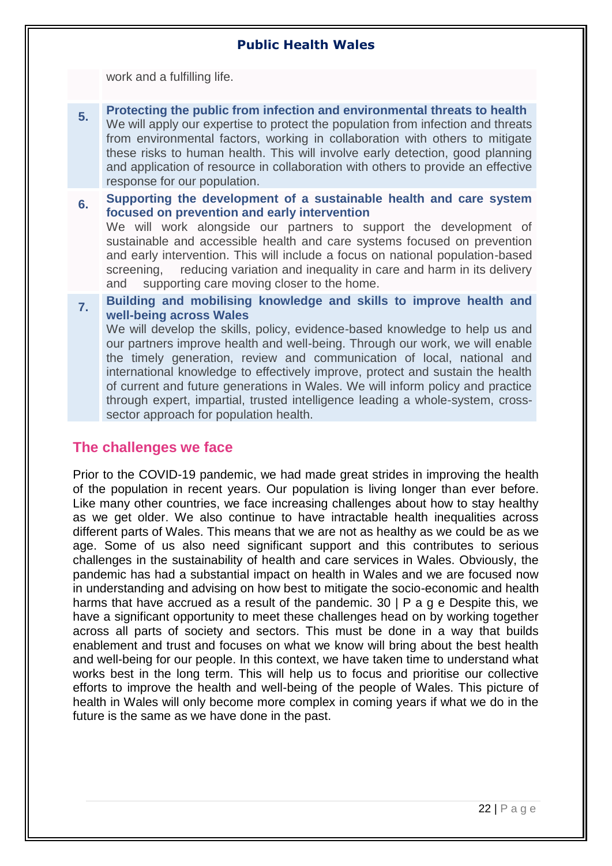work and a fulfilling life.

- **5. Protecting the public from infection and environmental threats to health** We will apply our expertise to protect the population from infection and threats from environmental factors, working in collaboration with others to mitigate these risks to human health. This will involve early detection, good planning and application of resource in collaboration with others to provide an effective response for our population.
- **6. Supporting the development of a sustainable health and care system focused on prevention and early intervention**

We will work alongside our partners to support the development of sustainable and accessible health and care systems focused on prevention and early intervention. This will include a focus on national population-based screening, reducing variation and inequality in care and harm in its delivery and supporting care moving closer to the home.

**7. Building and mobilising knowledge and skills to improve health and well-being across Wales**

We will develop the skills, policy, evidence-based knowledge to help us and our partners improve health and well-being. Through our work, we will enable the timely generation, review and communication of local, national and international knowledge to effectively improve, protect and sustain the health of current and future generations in Wales. We will inform policy and practice through expert, impartial, trusted intelligence leading a whole-system, crosssector approach for population health.

# <span id="page-21-0"></span>**The challenges we face**

Prior to the COVID-19 pandemic, we had made great strides in improving the health of the population in recent years. Our population is living longer than ever before. Like many other countries, we face increasing challenges about how to stay healthy as we get older. We also continue to have intractable health inequalities across different parts of Wales. This means that we are not as healthy as we could be as we age. Some of us also need significant support and this contributes to serious challenges in the sustainability of health and care services in Wales. Obviously, the pandemic has had a substantial impact on health in Wales and we are focused now in understanding and advising on how best to mitigate the socio-economic and health harms that have accrued as a result of the pandemic. 30 | P a g e Despite this, we have a significant opportunity to meet these challenges head on by working together across all parts of society and sectors. This must be done in a way that builds enablement and trust and focuses on what we know will bring about the best health and well-being for our people. In this context, we have taken time to understand what works best in the long term. This will help us to focus and prioritise our collective efforts to improve the health and well-being of the people of Wales. This picture of health in Wales will only become more complex in coming years if what we do in the future is the same as we have done in the past.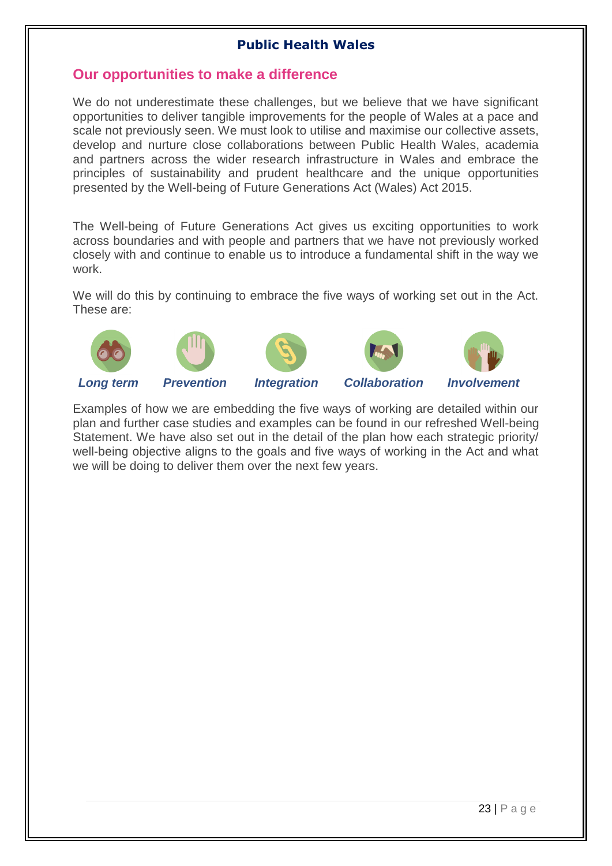# <span id="page-22-0"></span>**Our opportunities to make a difference**

We do not underestimate these challenges, but we believe that we have significant opportunities to deliver tangible improvements for the people of Wales at a pace and scale not previously seen. We must look to utilise and maximise our collective assets, develop and nurture close collaborations between Public Health Wales, academia and partners across the wider research infrastructure in Wales and embrace the principles of sustainability and prudent healthcare and the unique opportunities presented by the Well-being of Future Generations Act (Wales) Act 2015.

The Well-being of Future Generations Act gives us exciting opportunities to work across boundaries and with people and partners that we have not previously worked closely with and continue to enable us to introduce a fundamental shift in the way we work.

We will do this by continuing to embrace the five ways of working set out in the Act. These are:









*Long term Prevention Integration Collaboration Involvement*

Examples of how we are embedding the five ways of working are detailed within our plan and further case studies and examples can be found in our refreshed Well-being Statement. We have also set out in the detail of the plan how each strategic priority/ well-being objective aligns to the goals and five ways of working in the Act and what we will be doing to deliver them over the next few years.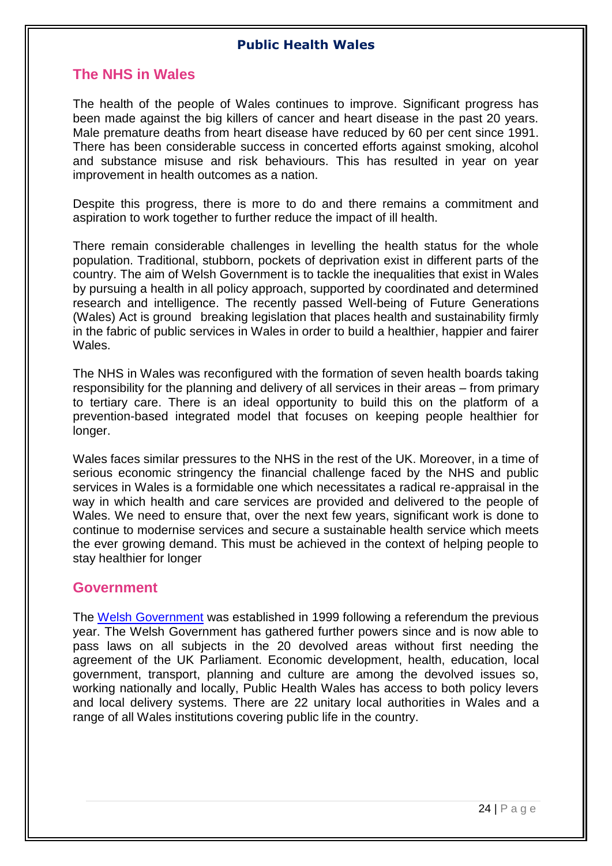# <span id="page-23-0"></span>**The NHS in Wales**

The health of the people of Wales continues to improve. Significant progress has been made against the big killers of cancer and heart disease in the past 20 years. Male premature deaths from heart disease have reduced by 60 per cent since 1991. There has been considerable success in concerted efforts against smoking, alcohol and substance misuse and risk behaviours. This has resulted in year on year improvement in health outcomes as a nation.

Despite this progress, there is more to do and there remains a commitment and aspiration to work together to further reduce the impact of ill health.

There remain considerable challenges in levelling the health status for the whole population. Traditional, stubborn, pockets of deprivation exist in different parts of the country. The aim of Welsh Government is to tackle the inequalities that exist in Wales by pursuing a health in all policy approach, supported by coordinated and determined research and intelligence. The recently passed Well-being of Future Generations (Wales) Act is ground breaking legislation that places health and sustainability firmly in the fabric of public services in Wales in order to build a healthier, happier and fairer Wales.

The NHS in Wales was reconfigured with the formation of seven health boards taking responsibility for the planning and delivery of all services in their areas – from primary to tertiary care. There is an ideal opportunity to build this on the platform of a prevention-based integrated model that focuses on keeping people healthier for longer.

Wales faces similar pressures to the NHS in the rest of the UK. Moreover, in a time of serious economic stringency the financial challenge faced by the NHS and public services in Wales is a formidable one which necessitates a radical re-appraisal in the way in which health and care services are provided and delivered to the people of Wales. We need to ensure that, over the next few years, significant work is done to continue to modernise services and secure a sustainable health service which meets the ever growing demand. This must be achieved in the context of helping people to stay healthier for longer

## <span id="page-23-1"></span>**Government**

The [Welsh Government](https://wales.com/) was established in 1999 following a referendum the previous year. The Welsh Government has gathered further powers since and is now able to pass laws on all subjects in the 20 devolved areas without first needing the agreement of the UK Parliament. Economic development, health, education, local government, transport, planning and culture are among the devolved issues so, working nationally and locally, Public Health Wales has access to both policy levers and local delivery systems. There are 22 unitary local authorities in Wales and a range of all Wales institutions covering public life in the country.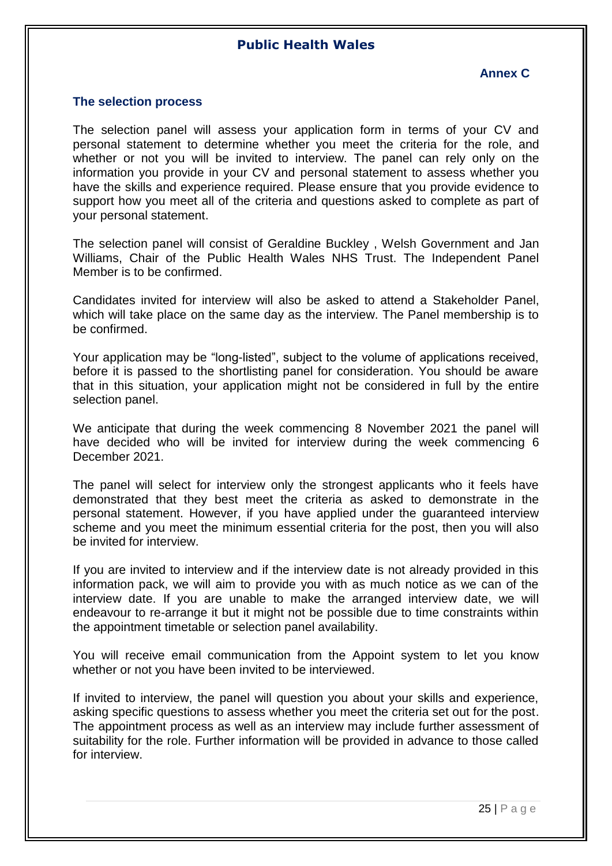### **Annex C**

#### <span id="page-24-1"></span><span id="page-24-0"></span>**The selection process**

The selection panel will assess your application form in terms of your CV and personal statement to determine whether you meet the criteria for the role, and whether or not you will be invited to interview. The panel can rely only on the information you provide in your CV and personal statement to assess whether you have the skills and experience required. Please ensure that you provide evidence to support how you meet all of the criteria and questions asked to complete as part of your personal statement.

The selection panel will consist of Geraldine Buckley , Welsh Government and Jan Williams, Chair of the Public Health Wales NHS Trust. The Independent Panel Member is to be confirmed.

Candidates invited for interview will also be asked to attend a Stakeholder Panel, which will take place on the same day as the interview. The Panel membership is to be confirmed.

Your application may be "long-listed", subject to the volume of applications received, before it is passed to the shortlisting panel for consideration. You should be aware that in this situation, your application might not be considered in full by the entire selection panel.

We anticipate that during the week commencing 8 November 2021 the panel will have decided who will be invited for interview during the week commencing 6 December 2021.

The panel will select for interview only the strongest applicants who it feels have demonstrated that they best meet the criteria as asked to demonstrate in the personal statement. However, if you have applied under the guaranteed interview scheme and you meet the minimum essential criteria for the post, then you will also be invited for interview.

If you are invited to interview and if the interview date is not already provided in this information pack, we will aim to provide you with as much notice as we can of the interview date. If you are unable to make the arranged interview date, we will endeavour to re-arrange it but it might not be possible due to time constraints within the appointment timetable or selection panel availability.

You will receive email communication from the Appoint system to let you know whether or not you have been invited to be interviewed.

If invited to interview, the panel will question you about your skills and experience, asking specific questions to assess whether you meet the criteria set out for the post. The appointment process as well as an interview may include further assessment of suitability for the role. Further information will be provided in advance to those called for interview.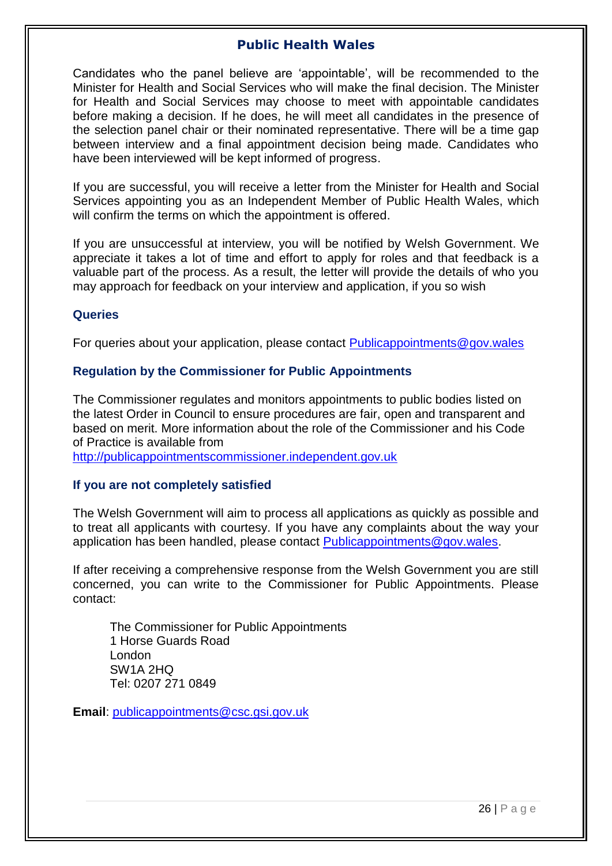Candidates who the panel believe are 'appointable', will be recommended to the Minister for Health and Social Services who will make the final decision. The Minister for Health and Social Services may choose to meet with appointable candidates before making a decision. If he does, he will meet all candidates in the presence of the selection panel chair or their nominated representative. There will be a time gap between interview and a final appointment decision being made. Candidates who have been interviewed will be kept informed of progress.

If you are successful, you will receive a letter from the Minister for Health and Social Services appointing you as an Independent Member of Public Health Wales, which will confirm the terms on which the appointment is offered.

If you are unsuccessful at interview, you will be notified by Welsh Government. We appreciate it takes a lot of time and effort to apply for roles and that feedback is a valuable part of the process. As a result, the letter will provide the details of who you may approach for feedback on your interview and application, if you so wish

#### **Queries**

For queries about your application, please contact [Publicappointments@gov.wales](mailto:Publicappointments@gov.wales)

#### **Regulation by the Commissioner for Public Appointments**

The Commissioner regulates and monitors appointments to public bodies listed on the latest Order in Council to ensure procedures are fair, open and transparent and based on merit. More information about the role of the Commissioner and his Code of Practice is available from

[http://publicappointmentscommissioner.independent.gov.uk](http://publicappointmentscommissioner.independent.gov.uk/)

#### **If you are not completely satisfied**

The Welsh Government will aim to process all applications as quickly as possible and to treat all applicants with courtesy. If you have any complaints about the way your application has been handled, please contact [Publicappointments@gov.wales.](mailto:Publicappointments@gov.wales)

If after receiving a comprehensive response from the Welsh Government you are still concerned, you can write to the Commissioner for Public Appointments. Please contact:

The Commissioner for Public Appointments 1 Horse Guards Road London SW1A 2HQ Tel: 0207 271 0849

**Email**: [publicappointments@csc.gsi.gov.uk](mailto:publicappointments@csc.gsi.gov.uk)